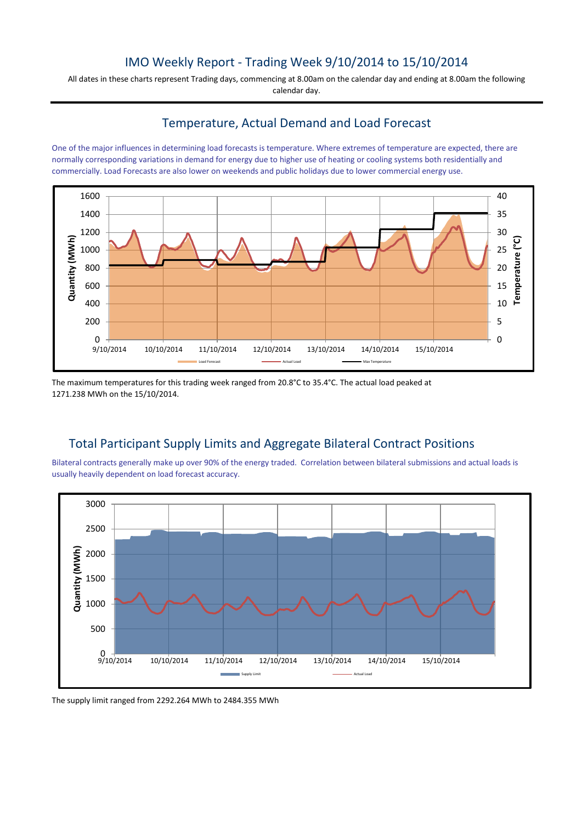## IMO Weekly Report - Trading Week 9/10/2014 to 15/10/2014

All dates in these charts represent Trading days, commencing at 8.00am on the calendar day and ending at 8.00am the following calendar day.

## Temperature, Actual Demand and Load Forecast

One of the major influences in determining load forecasts is temperature. Where extremes of temperature are expected, there are normally corresponding variations in demand for energy due to higher use of heating or cooling systems both residentially and commercially. Load Forecasts are also lower on weekends and public holidays due to lower commercial energy use.



The maximum temperatures for this trading week ranged from 20.8°C to 35.4°C. The actual load peaked at 1271.238 MWh on the 15/10/2014.

## Total Participant Supply Limits and Aggregate Bilateral Contract Positions

Bilateral contracts generally make up over 90% of the energy traded. Correlation between bilateral submissions and actual loads is usually heavily dependent on load forecast accuracy.



The supply limit ranged from 2292.264 MWh to 2484.355 MWh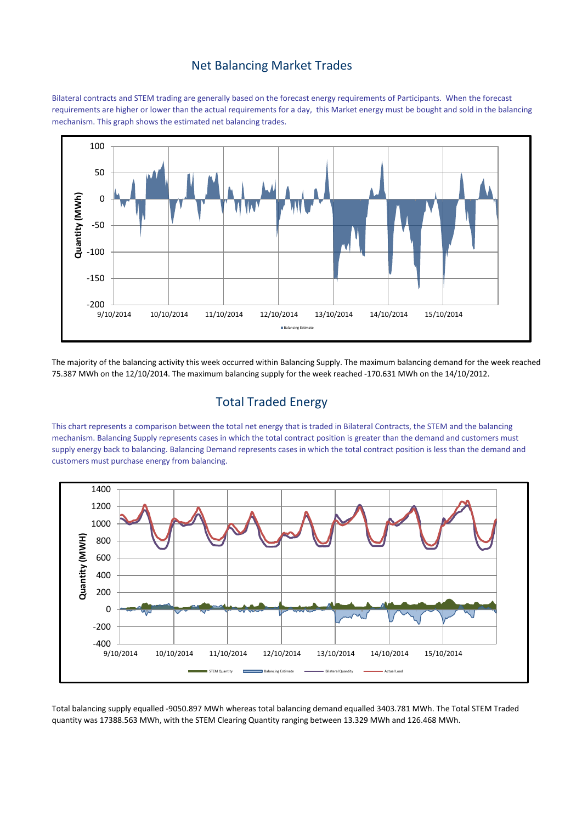#### Net Balancing Market Trades

Bilateral contracts and STEM trading are generally based on the forecast energy requirements of Participants. When the forecast requirements are higher or lower than the actual requirements for a day, this Market energy must be bought and sold in the balancing mechanism. This graph shows the estimated net balancing trades.



The majority of the balancing activity this week occurred within Balancing Supply. The maximum balancing demand for the week reached 75.387 MWh on the 12/10/2014. The maximum balancing supply for the week reached -170.631 MWh on the 14/10/2012.

# Total Traded Energy

This chart represents a comparison between the total net energy that is traded in Bilateral Contracts, the STEM and the balancing mechanism. Balancing Supply represents cases in which the total contract position is greater than the demand and customers must supply energy back to balancing. Balancing Demand represents cases in which the total contract position is less than the demand and customers must purchase energy from balancing.



Total balancing supply equalled -9050.897 MWh whereas total balancing demand equalled 3403.781 MWh. The Total STEM Traded quantity was 17388.563 MWh, with the STEM Clearing Quantity ranging between 13.329 MWh and 126.468 MWh.